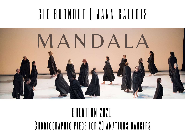# C I E BURNOUT | JANN GALLOIS



## CREATION 2021 Choreographic piece for 20 amateurs dancers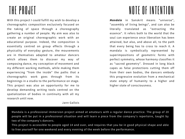## THE PROJET

With this project I could fulfill my wish to develop a choreographic composition exclusively focused on the taking of space through a choreography gathering a number of people. My aim was also to create an original choreographic work with an educational purpose. Indeed, the composition is essentially centred on group effects through a physicality of everyday gesture, the mouvements are in themselves adapted to amateur dancers which allows them to discover my way of composing dance, my conception of movement and my different working methods, while making them experiencing "from the inside" the paths that a choreographic work goes through from its beginnings in a studio to the performance on stage. This project was also an opportunity for me to develop demanding writing tools centred on the spatialization of bodies in continuity with all my research until now.

Jann Gallois

## NOTE OF INTENTION

*Mandala* in Sanskrit means "universe", "assembly of living beings", and can also be literally translated as "extracting the essence". It refers both to the world that the soul can experience once liberation has been attained, but also, and above all, to the path that every being has to cross to reach it. A mandala is symbolically represented by superimpositions of geometric forms with perfect symmetry, whose harmony classifies it as "sacred geometry". Dressed in long black capes as false protections cutting them off from their own bodies, the dancers embody this progressive evolution from a mechanical state empty of humanity to a higher and higher state of consciousness.

Mandala is a professional immersion project aimed at amateurs with a regular dance practice. The group of 20 people will be put in a professional situation and will learn a piece from the company's repertoire, taught by two of the company's dancers.

This project is accessible to people aged 14 and over, and requires that you be in good physical shape and able to free yourself for one weekend and every evening of the week before the performance.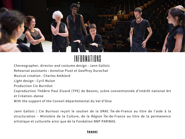

#### INFORMATIONS

Choreographer, director and costume design : Jann Gallois

Rehearsal assistants : Annelise Pizot et Geoffroy Durochat

Musical creation : Charles Amblard

Light design : Cyril Mulon

Production Cie BurnOut

Coproduction Théâtre Paul Eluard (TPE) de Bezons, scène conventionnée d'intérêt national Art et Création–danse

With the support of the Conseil départemental du Val d'Oise

Jann Gallois | Cie Burnout reçoit le soutien de la DRAC Île-de-France au titre de l'aide à la structuration – Ministère de la Culture, de la Région Île-de-France au titre de la permanence artistique et culturelle ainsi que de la Fondation BNP PARIBAS.

#### **[teaser](https://www.cieburnout.com/en$/)**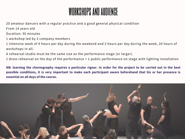### workshops and audience

20 amateur dancers with a regular practice and a good general physical condition

From 14 years old

Duration: 30 minutes

1 workshop led by 2 company members

1 intensive week of 4 hours per day during the weekend and 3 hours per day during the week, 20 hours of workshops in all.

A rehearsal studio must be the same size as the performance stage (or larger).

1 dress rehearsal on the day of the performance + 1 public performance on stage with lighting installation

NB: learning the choreography requires a particular rigour. In order for the project to be carried out in the best possible conditions, it is very important to make each participant aware beforehand that his or her presence is **essential on all days of the course.**

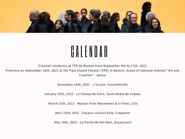

# C A L E N D A R

Creation residency at TPE de Bezons from September 4th to 17th, 2021 Premiere on September 18th, 2021 at the Paul Eluard Theater (TPE) in Bezons, Scene of national interest "Art and Creation" - dance

Novembre 14th, 2021 - L'Escale, Tournefeuille

January 29th, 2022 - Le Champ de Foire, Saint André de Cubzac

March 11th, 2022 - Maison Folie Wazemmes & le Flow, Lille

April 23rd, 2022 - Espace culturel Eole, Craponne

May 14th, 2022 - La Ferme de bel ébat, Guyancourt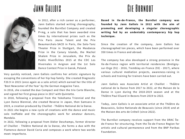### Jann Gallois Cie Burnout



. Theater Prize in Stuttgart, the Masdanza In 2012, after a rich career as a performer, Jann Gallois started writing choreography, founded the BurnOut Company and created P=mg, a solo that has been awarded nine times by international prizes such as the Prix Paris Jeune Talent and the Prix Beaumarchais-SACD in Paris, the Solo-Tanz Prize in the Canary Islands, the Machol Shalem Prize in Jerusalem, the Prix du Public HiverÔclites 2015 at the CDC Les Hivernales in Avignon and the 1st Solo Dance Contest Prize in Gansk, Poland.

Very quickly noticed, Jann Gallois confirms her artistic signature by escaping the conventions of her hip hop family. She created Diagnostic F20.9 in 2015 (once again as a solo artist) which earned her the title of 'Best Newcomer of the Year' by the German magazine Tanz.

In 2016, she created the duo Compact and then the trio Carte Blanche, and signed her first group piece in 2017 with Quintette.

In 2018, following a proposal from the Yokohama Triennial and the Lyon Dance Biennial, she created Reverse in Japan, then Samsara in 2019, a creation produced by Chaillot - Théâtre National de la Danse.

In 2021 she begins a new cycle of creations with the dance and music solo Ineffable and the choreographic work for amateur dancers, Mandala.

In 2022, following a proposal from Didier Deschamps, former director of Chaillot - Théâtre National de la Danse, she forms a duo with the Flamenco dancer David Coria and composes a work where two worlds meet: Imperfecto.

**Based in Ile-de-France, the BurnOut company was founded by Jann Gallois in 2012 with the aim of promoting and developing a singular choreographic writing fed by an undeniably contemporary hip hop technique.**

Since the creation of the company, Jann Gallois has choreographed ten pieces, which have been performed over 350 times in France and abroad.

The company has also developed a strong presence in the Ile-de-France region with territorial residencies (Bretignysur-Orge (91) - 2016, Tremblay-en-France (93) - 2017), where various cultural mediation projects, awareness-raising in schools and training for trainers have been carried out.

Jann Gallois was Associate Artist at Chaillot - Théâtre national de la Danse from 2017 to 2022, at the Maison de la Danse in Lyon during the 2018-2019 season and at the Théâtre Paul Eluard in Bezons from 2019 to 2022.

Today, Jann Gallois is an associate artist at the Théâtre du Beauvaisis, Scène Nationale de Beauvais (since 2019) and at the Maison des arts de Créteil (since 2022).

The BurnOut company receives support from the DRAC Îlede-France for structuring, from the Île-de-France Region for artistic and cultural permanence and from the BNP Paribas Foundation.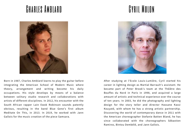### Charles Amblard Cyril Mulon



Born in 1987, Charles Amblard learns to play the guitar before integrating the American School of Modern Music where theory, arrangement and writing become his daily occupations. His style develops by means of a balance between solitary studio research and collaborations with artists of different disciplines. In 2012, his encounter with the South African rapper Lain Ewok Robinson sounds patently obvious, resulting in the band Blue Gene's first album Meditate On This, in 2013. In 2019, he worked with Jann Gallois for the music creation of the piece Samsara.



After studying at l'Ecole Louis-Lumière, Cyril started his career in lighting design as Martial Barrault's assistant. He became part of Peter Brook's team at the Théâtre des Bouffes du Nord in Paris in 1998, and acquired a large amount of artistic and technical experience over the course of ten years. In 2003, he did the photography and lighting design for the story teller and director Hassane Kassi Kouyaté, with whom he has a strong artistic partnership. Discovering the world of contemporary dance in 2011 with the American choreographer Stefanie Batten Bland, he has since collaborated with the choreographers Sébastien Ramirez, Bintou Dembélé, and Jann Gallois.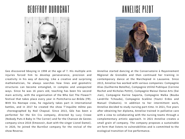### GEOFFROY DUROCHAT ANNELISE PIZOT



Geo discovered bboying in 1998 at the age of 7. His multiple arm injuries forced him to develop perseverance, precision and creativity in his way of dancing. Like a creative and surprising mathematician, he always searches how lines and geometric structures can become entangled, in complex and unexpected ways. Since he was 16 years old, teaching has been his second main activity, with the organisation of the Who Got The Flower?! festival that takes place every year in Pontcharra-sur-Bréda (FR). With his Nextape crew, he regularly takes part in international battles, and in 2017 he created the show T'inquiète même pas choreographed by Noé Chapsal. Since 2013, Géo has been a performer for the Sin Cru company, directed by Lucy Crowe (Nobody Puts A Baby In The Corner) and for the Chanson de Gestes company since 2018 (Emoovoir, duet with the singer Lionel Damei). In 2020, he joined the BurnOut company for the revival of the show Reverse.



Annelise started dancing at the Conservatoire à Rayonnement Régional de Grenoble and then continued her training in contemporary dance at the Marchepied in Lausanne. Since 2013, Annelise has worked with various companies: Compagnie Alias (Guilherme Botelho), Compagnie Utilité Publique (Corinne Rochet and Nicholas Pettit), Compagnie Maioui Danse Arts (Dai Jian), Compagnie Karine Saporta, Compagnie Malka (Bouba Landrille Tchouda), Compagnie Scalène (Youtci Erdos and Manuel Chabanis). In addition to her intermittent work, Annelise decided to study nursing part-time. In 2021, five years after obtaining her diploma, Annelise trained in palliative care with a view to collaborating with the nursing teams through a complementary artistic approach. In 2021 Annelise creates a small grain of company. The company proposes a sustainable art form that listens to vulnerabilities and is committed to the ecological transition of live performance.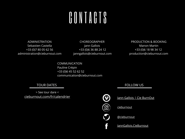# GONTAGTS

ADMINISTRATION Sebastien Castella +33 (0)7 80 05 62 56 administration@cieburnout.com

CHOREOGRAPHER Jann Gallois +33 (0)6 36 88 24 12 janngallois@cieburnout.com

PRODUCTION & BOOKING Manon Martin +33 (0)6 18 98 34 12 production@cieburnout.com

COMMUNICATION Pauline Crépin +33 (0)6 45 52 62 52 communication@cieburnout.com

> See tour dare < [cieburnout.com/fr/calendrier](https://www.cieburnout.com/fr/calendrier)

TOUR DATES **FOLLOW US** 



[Jann Gallois | Cie BurnOut](https://vimeo.com/user15455078)

**[cieburnout](https://www.instagram.com/cieburnout/)** 

[@cieburnout](https://twitter.com/cieburnout)

[JannGallois.CieBurnout](https://www.facebook.com/JannGallois.CieBurnout/)